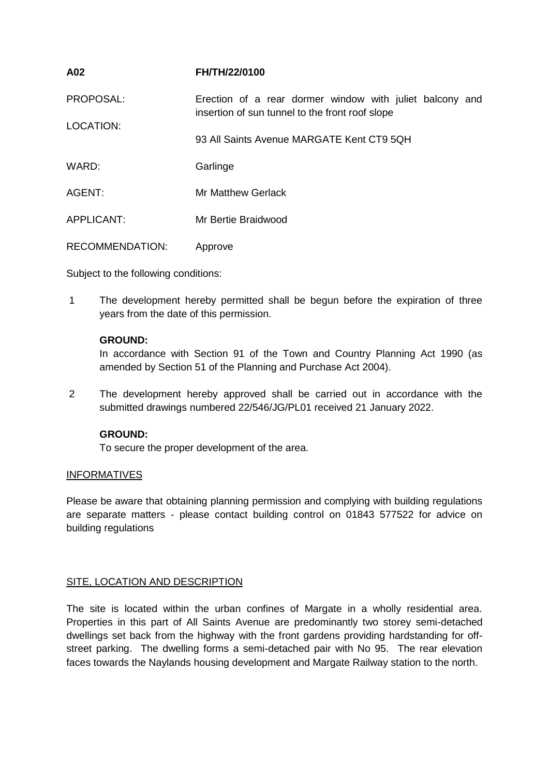| A02                    | FH/TH/22/0100                                                                                               |
|------------------------|-------------------------------------------------------------------------------------------------------------|
| PROPOSAL:              | Erection of a rear dormer window with juliet balcony and<br>insertion of sun tunnel to the front roof slope |
| <b>LOCATION:</b>       | 93 All Saints Avenue MARGATE Kent CT9 5QH                                                                   |
| WARD:                  | Garlinge                                                                                                    |
| AGENT:                 | <b>Mr Matthew Gerlack</b>                                                                                   |
| APPLICANT:             | Mr Bertie Braidwood                                                                                         |
| <b>RECOMMENDATION:</b> | Approve                                                                                                     |

Subject to the following conditions:

1 The development hereby permitted shall be begun before the expiration of three years from the date of this permission.

# **GROUND:**

In accordance with Section 91 of the Town and Country Planning Act 1990 (as amended by Section 51 of the Planning and Purchase Act 2004).

2 The development hereby approved shall be carried out in accordance with the submitted drawings numbered 22/546/JG/PL01 received 21 January 2022.

# **GROUND:**

To secure the proper development of the area.

## INFORMATIVES

Please be aware that obtaining planning permission and complying with building regulations are separate matters - please contact building control on 01843 577522 for advice on building regulations

## SITE, LOCATION AND DESCRIPTION

The site is located within the urban confines of Margate in a wholly residential area. Properties in this part of All Saints Avenue are predominantly two storey semi-detached dwellings set back from the highway with the front gardens providing hardstanding for offstreet parking. The dwelling forms a semi-detached pair with No 95. The rear elevation faces towards the Naylands housing development and Margate Railway station to the north.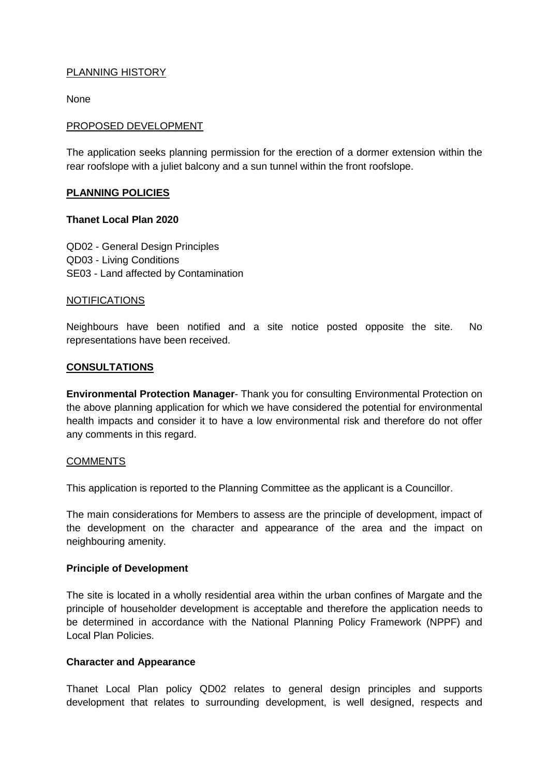# PLANNING HISTORY

None

## PROPOSED DEVELOPMENT

The application seeks planning permission for the erection of a dormer extension within the rear roofslope with a juliet balcony and a sun tunnel within the front roofslope.

## **PLANNING POLICIES**

#### **Thanet Local Plan 2020**

QD02 - General Design Principles QD03 - Living Conditions SE03 - Land affected by Contamination

#### NOTIFICATIONS

Neighbours have been notified and a site notice posted opposite the site. No representations have been received.

## **CONSULTATIONS**

**Environmental Protection Manager**- Thank you for consulting Environmental Protection on the above planning application for which we have considered the potential for environmental health impacts and consider it to have a low environmental risk and therefore do not offer any comments in this regard.

#### **COMMENTS**

This application is reported to the Planning Committee as the applicant is a Councillor.

The main considerations for Members to assess are the principle of development, impact of the development on the character and appearance of the area and the impact on neighbouring amenity.

## **Principle of Development**

The site is located in a wholly residential area within the urban confines of Margate and the principle of householder development is acceptable and therefore the application needs to be determined in accordance with the National Planning Policy Framework (NPPF) and Local Plan Policies.

## **Character and Appearance**

Thanet Local Plan policy QD02 relates to general design principles and supports development that relates to surrounding development, is well designed, respects and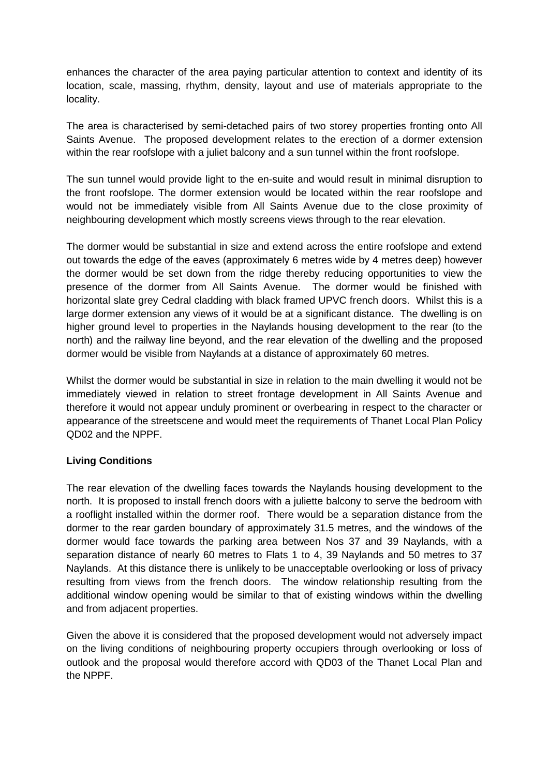enhances the character of the area paying particular attention to context and identity of its location, scale, massing, rhythm, density, layout and use of materials appropriate to the locality.

The area is characterised by semi-detached pairs of two storey properties fronting onto All Saints Avenue. The proposed development relates to the erection of a dormer extension within the rear roofslope with a juliet balcony and a sun tunnel within the front roofslope.

The sun tunnel would provide light to the en-suite and would result in minimal disruption to the front roofslope. The dormer extension would be located within the rear roofslope and would not be immediately visible from All Saints Avenue due to the close proximity of neighbouring development which mostly screens views through to the rear elevation.

The dormer would be substantial in size and extend across the entire roofslope and extend out towards the edge of the eaves (approximately 6 metres wide by 4 metres deep) however the dormer would be set down from the ridge thereby reducing opportunities to view the presence of the dormer from All Saints Avenue. The dormer would be finished with horizontal slate grey Cedral cladding with black framed UPVC french doors. Whilst this is a large dormer extension any views of it would be at a significant distance. The dwelling is on higher ground level to properties in the Naylands housing development to the rear (to the north) and the railway line beyond, and the rear elevation of the dwelling and the proposed dormer would be visible from Naylands at a distance of approximately 60 metres.

Whilst the dormer would be substantial in size in relation to the main dwelling it would not be immediately viewed in relation to street frontage development in All Saints Avenue and therefore it would not appear unduly prominent or overbearing in respect to the character or appearance of the streetscene and would meet the requirements of Thanet Local Plan Policy QD02 and the NPPF.

## **Living Conditions**

The rear elevation of the dwelling faces towards the Naylands housing development to the north. It is proposed to install french doors with a juliette balcony to serve the bedroom with a rooflight installed within the dormer roof. There would be a separation distance from the dormer to the rear garden boundary of approximately 31.5 metres, and the windows of the dormer would face towards the parking area between Nos 37 and 39 Naylands, with a separation distance of nearly 60 metres to Flats 1 to 4, 39 Naylands and 50 metres to 37 Naylands. At this distance there is unlikely to be unacceptable overlooking or loss of privacy resulting from views from the french doors. The window relationship resulting from the additional window opening would be similar to that of existing windows within the dwelling and from adjacent properties.

Given the above it is considered that the proposed development would not adversely impact on the living conditions of neighbouring property occupiers through overlooking or loss of outlook and the proposal would therefore accord with QD03 of the Thanet Local Plan and the NPPF.